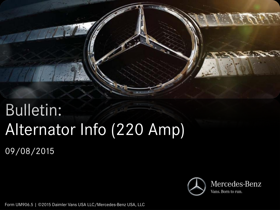

# Bulletin: Alternator Info (220 Amp)

09/08/2015



Form UM906.5 | ©2015 Daimler Vans USA LLC/Mercedes-Benz USA, LLC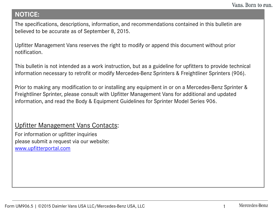## **NOTICE:**

The specifications, descriptions, information, and recommendations contained in this bulletin are believed to be accurate as of September 8, 2015.

Upfitter Management Vans reserves the right to modify or append this document without prior notification.

This bulletin is not intended as a work instruction, but as a guideline for upfitters to provide technical information necessary to retrofit or modify Mercedes-Benz Sprinters & Freightliner Sprinters (906).

Prior to making any modification to or installing any equipment in or on a Mercedes-Benz Sprinter & Freightliner Sprinter, please consult with Upfitter Management Vans for additional and updated information, and read the Body & Equipment Guidelines for Sprinter Model Series 906.

## Upfitter Management Vans Contacts:

For information or upfitter inquiries please submit a request via our website: [www.upfitterportal.com](http://www.upfitterportalcom/)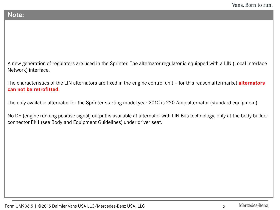#### **Note:**

A new generation of regulators are used in the Sprinter. The alternator regulator is equipped with a LIN (Local Interface Network) interface.

The characteristics of the LIN alternators are fixed in the engine control unit – for this reason aftermarket **alternators can not be retrofitted.**

The only available alternator for the Sprinter starting model year 2010 is 220 Amp alternator (standard equipment).

No D+ (engine running positive signal) output is available at alternator with LIN Bus technology, only at the body builder connector EK1 (see Body and Equipment Guidelines) under driver seat.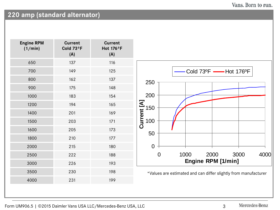#### Vans. Born to run.

# **220 amp (standard alternator)**

| <b>Engine RPM</b><br>(1/min) | <b>Current</b><br>Cold 73°F<br>(A) | <b>Current</b><br>Hot 176°F<br>(A) |
|------------------------------|------------------------------------|------------------------------------|
| 650                          | 137                                | 116                                |
| 700                          | 149                                | 125                                |
| 800                          | 162                                | 137                                |
| 900                          | 175                                | 148                                |
| 1000                         | 183                                | 154                                |
| 1200                         | 194                                | 165                                |
| 1400                         | 201                                | 169                                |
| 1500                         | 203                                | 171                                |
| 1600                         | 205                                | 173                                |
| 1800                         | 210                                | 177                                |
| 2000                         | 215                                | 180                                |
| 2500                         | 222                                | 188                                |
| 3000                         | 226                                | 193                                |
| 3500                         | 230                                | 198                                |
| 4000                         | 231                                | 199                                |
|                              |                                    |                                    |



\*Values are estimated and can differ slightly from manufacturer